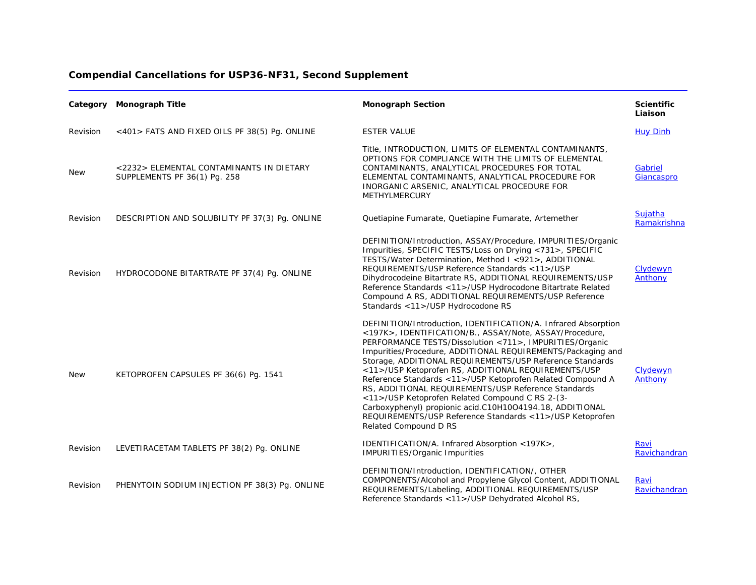|  | <b>Compendial Cancellations for USP36-NF31, Second Supplement</b> |  |  |  |
|--|-------------------------------------------------------------------|--|--|--|
|--|-------------------------------------------------------------------|--|--|--|

|            | Category Monograph Title                                                 | <b>Monograph Section</b>                                                                                                                                                                                                                                                                                                                                                                                                                                                                                                                                                                                                                                                                          | <b>Scientific</b><br>Liaison |
|------------|--------------------------------------------------------------------------|---------------------------------------------------------------------------------------------------------------------------------------------------------------------------------------------------------------------------------------------------------------------------------------------------------------------------------------------------------------------------------------------------------------------------------------------------------------------------------------------------------------------------------------------------------------------------------------------------------------------------------------------------------------------------------------------------|------------------------------|
| Revision   | <401> FATS AND FIXED OILS PF 38(5) Pq. ONLINE                            | <b>ESTER VALUE</b>                                                                                                                                                                                                                                                                                                                                                                                                                                                                                                                                                                                                                                                                                | <b>Huy Dinh</b>              |
| New        | <2232> ELEMENTAL CONTAMINANTS IN DIETARY<br>SUPPLEMENTS PF 36(1) Pg. 258 | Title, INTRODUCTION, LIMITS OF ELEMENTAL CONTAMINANTS,<br>OPTIONS FOR COMPLIANCE WITH THE LIMITS OF ELEMENTAL<br>CONTAMINANTS, ANALYTICAL PROCEDURES FOR TOTAL<br>ELEMENTAL CONTAMINANTS, ANALYTICAL PROCEDURE FOR<br>INORGANIC ARSENIC, ANALYTICAL PROCEDURE FOR<br><b>METHYLMERCURY</b>                                                                                                                                                                                                                                                                                                                                                                                                         | Gabriel<br>Giancaspro        |
| Revision   | DESCRIPTION AND SOLUBILITY PF 37(3) Pq. ONLINE                           | Quetiapine Fumarate, Quetiapine Fumarate, Artemether                                                                                                                                                                                                                                                                                                                                                                                                                                                                                                                                                                                                                                              | Sujatha<br>Ramakrishna       |
| Revision   | HYDROCODONE BITARTRATE PF 37(4) Pq. ONLINE                               | DEFINITION/Introduction, ASSAY/Procedure, IMPURITIES/Organic<br>Impurities, SPECIFIC TESTS/Loss on Drying <731>, SPECIFIC<br>TESTS/Water Determination, Method I <921>, ADDITIONAL<br>REQUIREMENTS/USP Reference Standards <11>/USP<br>Dihydrocodeine Bitartrate RS, ADDITIONAL REQUIREMENTS/USP<br>Reference Standards <11>/USP Hydrocodone Bitartrate Related<br>Compound A RS, ADDITIONAL REQUIREMENTS/USP Reference<br>Standards <11>/USP Hydrocodone RS                                                                                                                                                                                                                                      | Clydewyn<br>Anthony          |
| <b>New</b> | KETOPROFEN CAPSULES PF 36(6) Pg. 1541                                    | DEFINITION/Introduction, IDENTIFICATION/A. Infrared Absorption<br><197K>, IDENTIFICATION/B., ASSAY/Note, ASSAY/Procedure,<br>PERFORMANCE TESTS/Dissolution <711>, IMPURITIES/Organic<br>Impurities/Procedure, ADDITIONAL REQUIREMENTS/Packaging and<br>Storage, ADDITIONAL REQUIREMENTS/USP Reference Standards<br><11>/USP Ketoprofen RS, ADDITIONAL REQUIREMENTS/USP<br>Reference Standards <11>/USP Ketoprofen Related Compound A<br>RS, ADDITIONAL REQUIREMENTS/USP Reference Standards<br><11>/USP Ketoprofen Related Compound C RS 2-(3-<br>Carboxyphenyl) propionic acid.C10H10O4194.18, ADDITIONAL<br>REQUIREMENTS/USP Reference Standards < 11 >/USP Ketoprofen<br>Related Compound D RS | Clydewyn<br>Anthony          |
| Revision   | LEVETIRACETAM TABLETS PF 38(2) Pg. ONLINE                                | IDENTIFICATION/A. Infrared Absorption <197K>,<br><b>IMPURITIES/Organic Impurities</b>                                                                                                                                                                                                                                                                                                                                                                                                                                                                                                                                                                                                             | Ravi<br>Ravichandran         |
| Revision   | PHENYTOIN SODIUM INJECTION PF 38(3) Pg. ONLINE                           | DEFINITION/Introduction, IDENTIFICATION/, OTHER<br>COMPONENTS/Alcohol and Propylene Glycol Content, ADDITIONAL<br>REQUIREMENTS/Labeling, ADDITIONAL REQUIREMENTS/USP<br>Reference Standards <11>/USP Dehydrated Alcohol RS,                                                                                                                                                                                                                                                                                                                                                                                                                                                                       | Ravi<br>Ravichandran         |